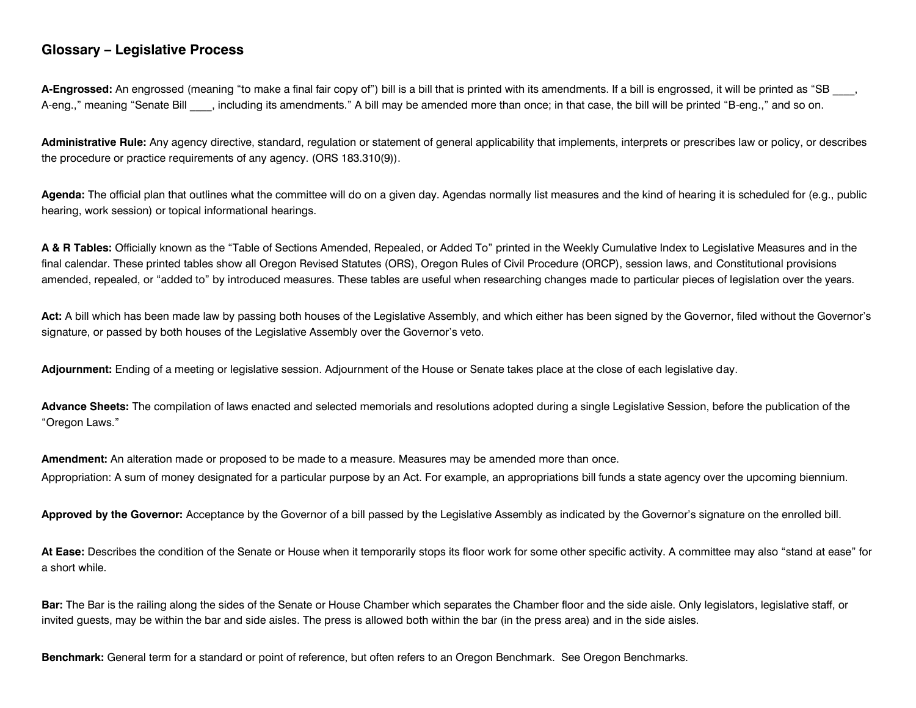## **Glossary – Legislative Process**

**A-Engrossed:** An engrossed (meaning "to make a final fair copy of") bill is a bill that is printed with its amendments. If a bill is engrossed, it will be printed as "SB \_\_\_\_, A-eng.," meaning "Senate Bill \_\_\_\_, including its amendments." A bill may be amended more than once; in that case, the bill will be printed "B-eng.," and so on.

**Administrative Rule:** Any agency directive, standard, regulation or statement of general applicability that implements, interprets or prescribes law or policy, or describes the procedure or practice requirements of any agency. (ORS 183.310(9)).

**Agenda:** The official plan that outlines what the committee will do on a given day. Agendas normally list measures and the kind of hearing it is scheduled for (e.g., public hearing, work session) or topical informational hearings.

**A & R Tables:** Officially known as the "Table of Sections Amended, Repealed, or Added To" printed in the Weekly Cumulative Index to Legislative Measures and in the final calendar. These printed tables show all Oregon Revised Statutes (ORS), Oregon Rules of Civil Procedure (ORCP), session laws, and Constitutional provisions amended, repealed, or "added to" by introduced measures. These tables are useful when researching changes made to particular pieces of legislation over the years.

**Act:** A bill which has been made law by passing both houses of the Legislative Assembly, and which either has been signed by the Governor, filed without the Governor's signature, or passed by both houses of the Legislative Assembly over the Governor's veto.

**Adjournment:** Ending of a meeting or legislative session. Adjournment of the House or Senate takes place at the close of each legislative day.

**Advance Sheets:** The compilation of laws enacted and selected memorials and resolutions adopted during a single Legislative Session, before the publication of the "Oregon Laws."

**Amendment:** An alteration made or proposed to be made to a measure. Measures may be amended more than once. Appropriation: A sum of money designated for a particular purpose by an Act. For example, an appropriations bill funds a state agency over the upcoming biennium.

Approved by the Governor: Acceptance by the Governor of a bill passed by the Legislative Assembly as indicated by the Governor's signature on the enrolled bill.

**At Ease:** Describes the condition of the Senate or House when it temporarily stops its floor work for some other specific activity. A committee may also "stand at ease" for a short while.

**Bar:** The Bar is the railing along the sides of the Senate or House Chamber which separates the Chamber floor and the side aisle. Only legislators, legislative staff, or invited guests, may be within the bar and side aisles. The press is allowed both within the bar (in the press area) and in the side aisles.

**Benchmark:** General term for a standard or point of reference, but often refers to an Oregon Benchmark. See Oregon Benchmarks.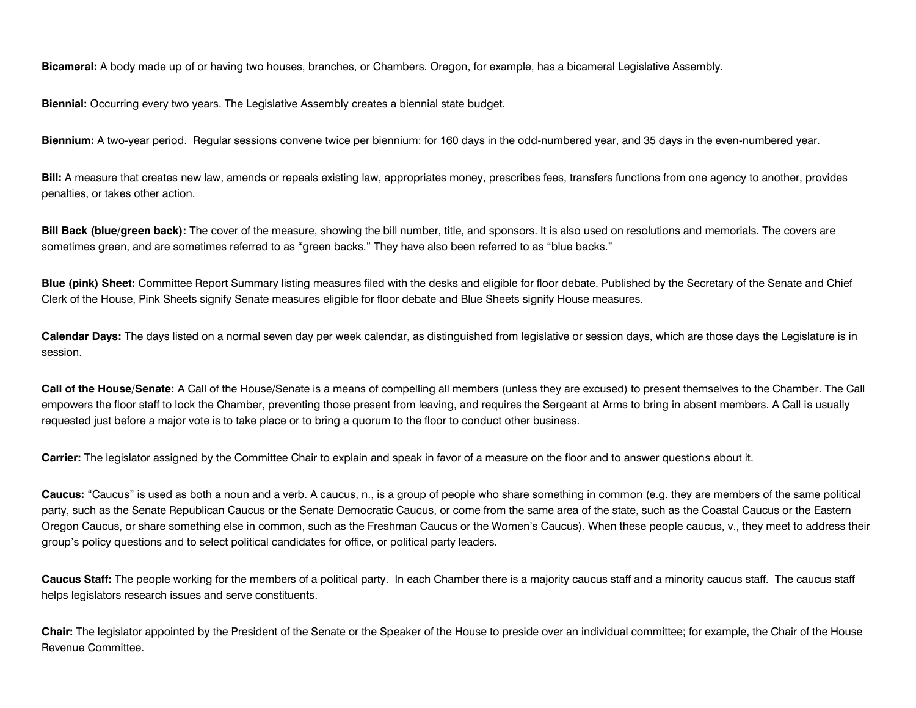**Bicameral:** A body made up of or having two houses, branches, or Chambers. Oregon, for example, has a bicameral Legislative Assembly.

**Biennial:** Occurring every two years. The Legislative Assembly creates a biennial state budget.

**Biennium:** A two-year period. Regular sessions convene twice per biennium: for 160 days in the odd-numbered year, and 35 days in the even-numbered year.

**Bill:** A measure that creates new law, amends or repeals existing law, appropriates money, prescribes fees, transfers functions from one agency to another, provides penalties, or takes other action.

**Bill Back (blue/green back):** The cover of the measure, showing the bill number, title, and sponsors. It is also used on resolutions and memorials. The covers are sometimes green, and are sometimes referred to as "green backs." They have also been referred to as "blue backs."

**Blue (pink) Sheet:** Committee Report Summary listing measures filed with the desks and eligible for floor debate. Published by the Secretary of the Senate and Chief Clerk of the House, Pink Sheets signify Senate measures eligible for floor debate and Blue Sheets signify House measures.

**Calendar Days:** The days listed on a normal seven day per week calendar, as distinguished from legislative or session days, which are those days the Legislature is in session.

**Call of the House/Senate:** A Call of the House/Senate is a means of compelling all members (unless they are excused) to present themselves to the Chamber. The Call empowers the floor staff to lock the Chamber, preventing those present from leaving, and requires the Sergeant at Arms to bring in absent members. A Call is usually requested just before a major vote is to take place or to bring a quorum to the floor to conduct other business.

**Carrier:** The legislator assigned by the Committee Chair to explain and speak in favor of a measure on the floor and to answer questions about it.

**Caucus:** "Caucus" is used as both a noun and a verb. A caucus, n., is a group of people who share something in common (e.g. they are members of the same political party, such as the Senate Republican Caucus or the Senate Democratic Caucus, or come from the same area of the state, such as the Coastal Caucus or the Eastern Oregon Caucus, or share something else in common, such as the Freshman Caucus or the Women's Caucus). When these people caucus, v., they meet to address their group's policy questions and to select political candidates for office, or political party leaders.

**Caucus Staff:** The people working for the members of a political party. In each Chamber there is a majority caucus staff and a minority caucus staff. The caucus staff helps legislators research issues and serve constituents.

**Chair:** The legislator appointed by the President of the Senate or the Speaker of the House to preside over an individual committee; for example, the Chair of the House Revenue Committee.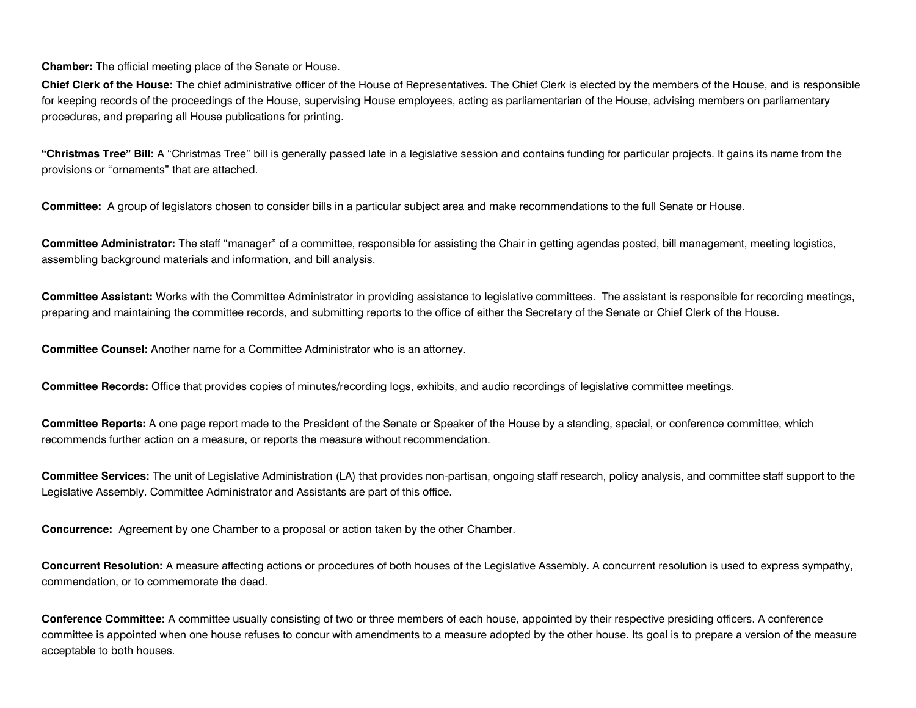**Chamber:** The official meeting place of the Senate or House.

**Chief Clerk of the House:** The chief administrative officer of the House of Representatives. The Chief Clerk is elected by the members of the House, and is responsible for keeping records of the proceedings of the House, supervising House employees, acting as parliamentarian of the House, advising members on parliamentary procedures, and preparing all House publications for printing.

**"Christmas Tree" Bill:** A "Christmas Tree" bill is generally passed late in a legislative session and contains funding for particular projects. It gains its name from the provisions or "ornaments" that are attached.

**Committee:** A group of legislators chosen to consider bills in a particular subject area and make recommendations to the full Senate or House.

**Committee Administrator:** The staff "manager" of a committee, responsible for assisting the Chair in getting agendas posted, bill management, meeting logistics, assembling background materials and information, and bill analysis.

**Committee Assistant:** Works with the Committee Administrator in providing assistance to legislative committees. The assistant is responsible for recording meetings, preparing and maintaining the committee records, and submitting reports to the office of either the Secretary of the Senate or Chief Clerk of the House.

**Committee Counsel:** Another name for a Committee Administrator who is an attorney.

**Committee Records:** Office that provides copies of minutes/recording logs, exhibits, and audio recordings of legislative committee meetings.

**Committee Reports:** A one page report made to the President of the Senate or Speaker of the House by a standing, special, or conference committee, which recommends further action on a measure, or reports the measure without recommendation.

**Committee Services:** The unit of Legislative Administration (LA) that provides non-partisan, ongoing staff research, policy analysis, and committee staff support to the Legislative Assembly. Committee Administrator and Assistants are part of this office.

**Concurrence:** Agreement by one Chamber to a proposal or action taken by the other Chamber.

**Concurrent Resolution:** A measure affecting actions or procedures of both houses of the Legislative Assembly. A concurrent resolution is used to express sympathy, commendation, or to commemorate the dead.

**Conference Committee:** A committee usually consisting of two or three members of each house, appointed by their respective presiding officers. A conference committee is appointed when one house refuses to concur with amendments to a measure adopted by the other house. Its goal is to prepare a version of the measure acceptable to both houses.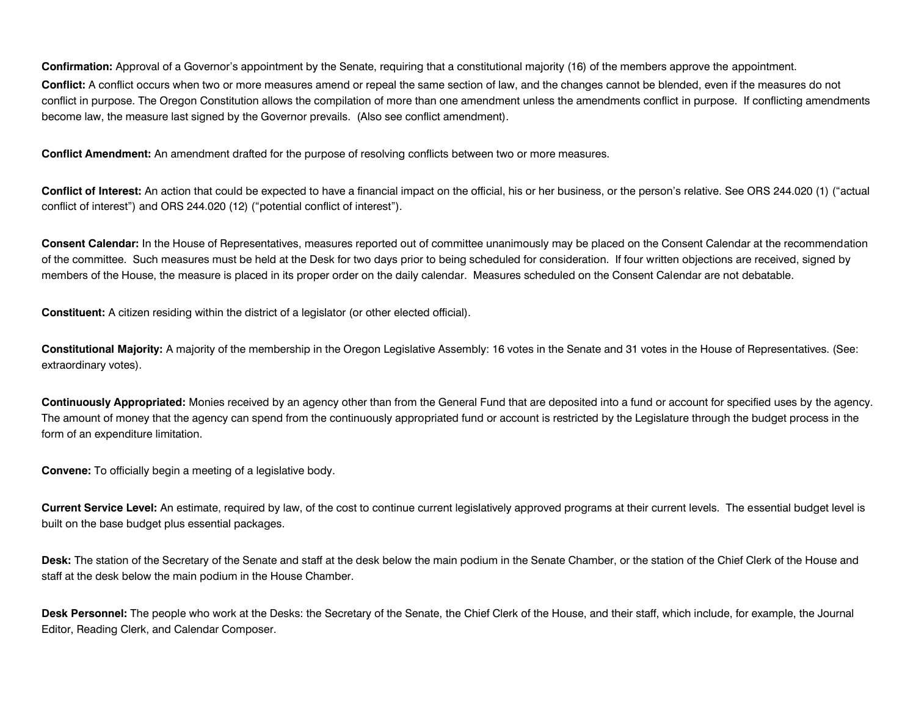**Confirmation:** Approval of a Governor's appointment by the Senate, requiring that a constitutional majority (16) of the members approve the appointment.

**Conflict:** A conflict occurs when two or more measures amend or repeal the same section of law, and the changes cannot be blended, even if the measures do not conflict in purpose. The Oregon Constitution allows the compilation of more than one amendment unless the amendments conflict in purpose. If conflicting amendments become law, the measure last signed by the Governor prevails. (Also see conflict amendment).

**Conflict Amendment:** An amendment drafted for the purpose of resolving conflicts between two or more measures.

**Conflict of Interest:** An action that could be expected to have a financial impact on the official, his or her business, or the person's relative. See ORS 244.020 (1) ("actual conflict of interest") and ORS 244.020 (12) ("potential conflict of interest").

**Consent Calendar:** In the House of Representatives, measures reported out of committee unanimously may be placed on the Consent Calendar at the recommendation of the committee. Such measures must be held at the Desk for two days prior to being scheduled for consideration. If four written objections are received, signed by members of the House, the measure is placed in its proper order on the daily calendar. Measures scheduled on the Consent Calendar are not debatable.

**Constituent:** A citizen residing within the district of a legislator (or other elected official).

**Constitutional Majority:** A majority of the membership in the Oregon Legislative Assembly: 16 votes in the Senate and 31 votes in the House of Representatives. (See: extraordinary votes).

**Continuously Appropriated:** Monies received by an agency other than from the General Fund that are deposited into a fund or account for specified uses by the agency. The amount of money that the agency can spend from the continuously appropriated fund or account is restricted by the Legislature through the budget process in the form of an expenditure limitation.

**Convene:** To officially begin a meeting of a legislative body.

**Current Service Level:** An estimate, required by law, of the cost to continue current legislatively approved programs at their current levels. The essential budget level is built on the base budget plus essential packages.

**Desk:** The station of the Secretary of the Senate and staff at the desk below the main podium in the Senate Chamber, or the station of the Chief Clerk of the House and staff at the desk below the main podium in the House Chamber.

**Desk Personnel:** The people who work at the Desks: the Secretary of the Senate, the Chief Clerk of the House, and their staff, which include, for example, the Journal Editor, Reading Clerk, and Calendar Composer.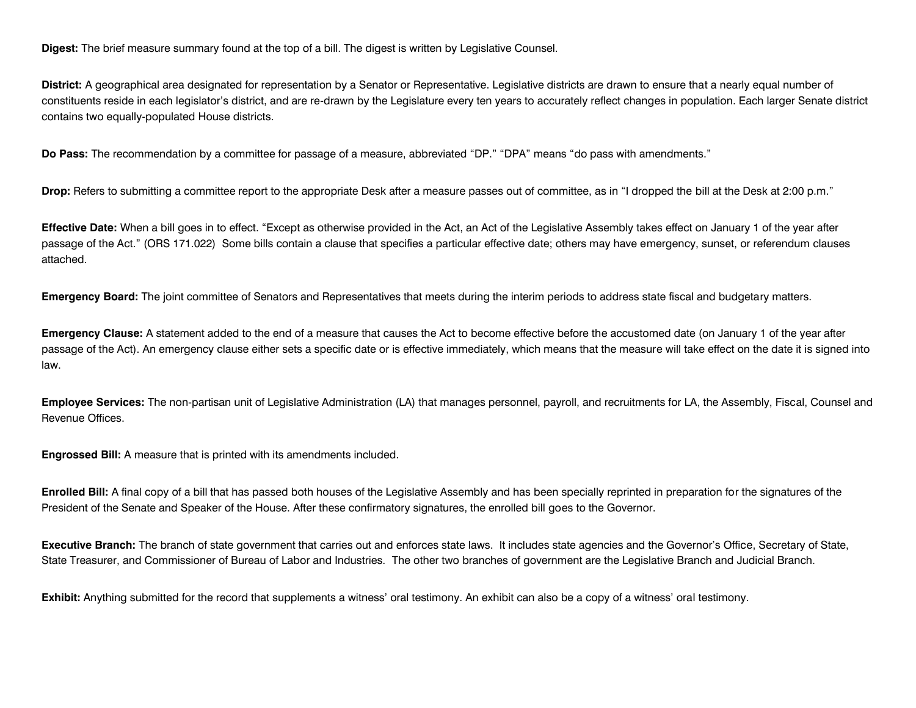**Digest:** The brief measure summary found at the top of a bill. The digest is written by Legislative Counsel.

**District:** A geographical area designated for representation by a Senator or Representative. Legislative districts are drawn to ensure that a nearly equal number of constituents reside in each legislator's district, and are re-drawn by the Legislature every ten years to accurately reflect changes in population. Each larger Senate district contains two equally-populated House districts.

**Do Pass:** The recommendation by a committee for passage of a measure, abbreviated "DP." "DPA" means "do pass with amendments."

**Drop:** Refers to submitting a committee report to the appropriate Desk after a measure passes out of committee, as in "I dropped the bill at the Desk at 2:00 p.m."

**Effective Date:** When a bill goes in to effect. "Except as otherwise provided in the Act, an Act of the Legislative Assembly takes effect on January 1 of the year after passage of the Act." (ORS 171.022) Some bills contain a clause that specifies a particular effective date; others may have emergency, sunset, or referendum clauses attached.

**Emergency Board:** The joint committee of Senators and Representatives that meets during the interim periods to address state fiscal and budgetary matters.

**Emergency Clause:** A statement added to the end of a measure that causes the Act to become effective before the accustomed date (on January 1 of the year after passage of the Act). An emergency clause either sets a specific date or is effective immediately, which means that the measure will take effect on the date it is signed into law.

**Employee Services:** The non-partisan unit of Legislative Administration (LA) that manages personnel, payroll, and recruitments for LA, the Assembly, Fiscal, Counsel and Revenue Offices.

**Engrossed Bill:** A measure that is printed with its amendments included.

**Enrolled Bill:** A final copy of a bill that has passed both houses of the Legislative Assembly and has been specially reprinted in preparation for the signatures of the President of the Senate and Speaker of the House. After these confirmatory signatures, the enrolled bill goes to the Governor.

**Executive Branch:** The branch of state government that carries out and enforces state laws. It includes state agencies and the Governor's Office, Secretary of State, State Treasurer, and Commissioner of Bureau of Labor and Industries. The other two branches of government are the Legislative Branch and Judicial Branch.

**Exhibit:** Anything submitted for the record that supplements a witness' oral testimony. An exhibit can also be a copy of a witness' oral testimony.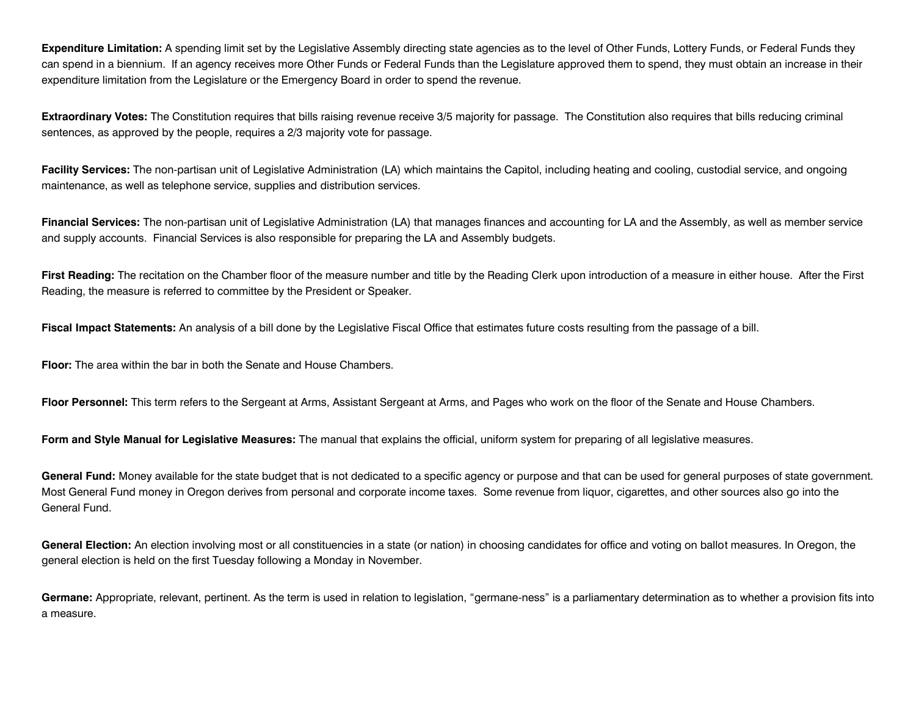**Expenditure Limitation:** A spending limit set by the Legislative Assembly directing state agencies as to the level of Other Funds, Lottery Funds, or Federal Funds they can spend in a biennium. If an agency receives more Other Funds or Federal Funds than the Legislature approved them to spend, they must obtain an increase in their expenditure limitation from the Legislature or the Emergency Board in order to spend the revenue.

**Extraordinary Votes:** The Constitution requires that bills raising revenue receive 3/5 majority for passage. The Constitution also requires that bills reducing criminal sentences, as approved by the people, requires a 2/3 majority vote for passage.

**Facility Services:** The non-partisan unit of Legislative Administration (LA) which maintains the Capitol, including heating and cooling, custodial service, and ongoing maintenance, as well as telephone service, supplies and distribution services.

**Financial Services:** The non-partisan unit of Legislative Administration (LA) that manages finances and accounting for LA and the Assembly, as well as member service and supply accounts. Financial Services is also responsible for preparing the LA and Assembly budgets.

First Reading: The recitation on the Chamber floor of the measure number and title by the Reading Clerk upon introduction of a measure in either house. After the First Reading, the measure is referred to committee by the President or Speaker.

**Fiscal Impact Statements:** An analysis of a bill done by the Legislative Fiscal Office that estimates future costs resulting from the passage of a bill.

**Floor:** The area within the bar in both the Senate and House Chambers.

**Floor Personnel:** This term refers to the Sergeant at Arms, Assistant Sergeant at Arms, and Pages who work on the floor of the Senate and House Chambers.

**Form and Style Manual for Legislative Measures:** The manual that explains the official, uniform system for preparing of all legislative measures.

General Fund: Money available for the state budget that is not dedicated to a specific agency or purpose and that can be used for general purposes of state government. Most General Fund money in Oregon derives from personal and corporate income taxes. Some revenue from liquor, cigarettes, and other sources also go into the General Fund.

**General Election:** An election involving most or all constituencies in a state (or nation) in choosing candidates for office and voting on ballot measures. In Oregon, the general election is held on the first Tuesday following a Monday in November.

**Germane:** Appropriate, relevant, pertinent. As the term is used in relation to legislation, "germane-ness" is a parliamentary determination as to whether a provision fits into a measure.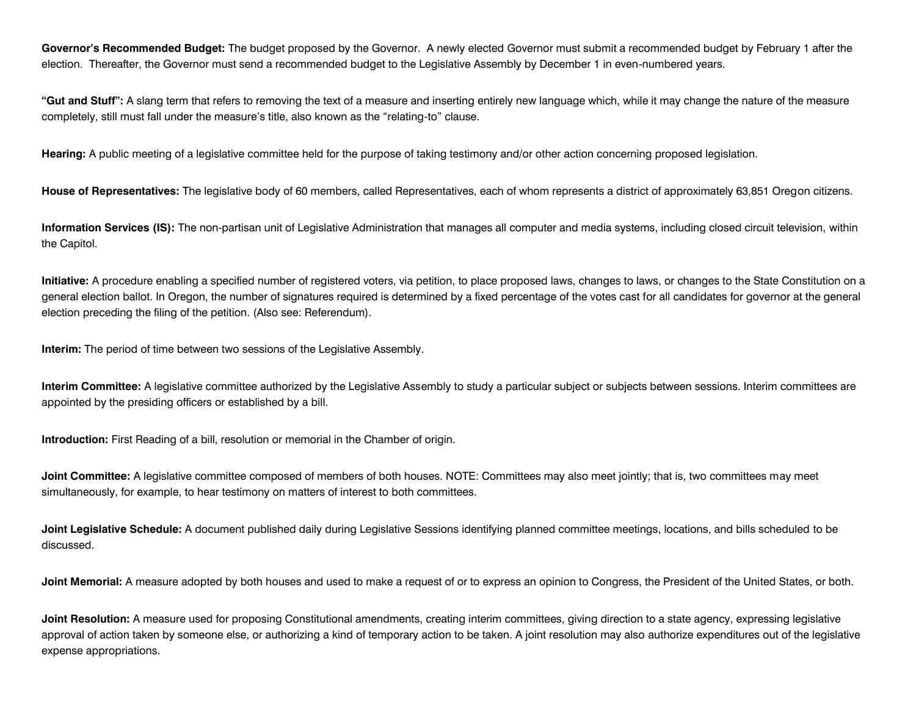**Governor's Recommended Budget:** The budget proposed by the Governor. A newly elected Governor must submit a recommended budget by February 1 after the election. Thereafter, the Governor must send a recommended budget to the Legislative Assembly by December 1 in even-numbered years.

**"Gut and Stuff":** A slang term that refers to removing the text of a measure and inserting entirely new language which, while it may change the nature of the measure completely, still must fall under the measure's title, also known as the "relating-to" clause.

**Hearing:** A public meeting of a legislative committee held for the purpose of taking testimony and/or other action concerning proposed legislation.

**House of Representatives:** The legislative body of 60 members, called Representatives, each of whom represents a district of approximately 63,851 Oregon citizens.

**Information Services (IS):** The non-partisan unit of Legislative Administration that manages all computer and media systems, including closed circuit television, within the Capitol.

**Initiative:** A procedure enabling a specified number of registered voters, via petition, to place proposed laws, changes to laws, or changes to the State Constitution on a general election ballot. In Oregon, the number of signatures required is determined by a fixed percentage of the votes cast for all candidates for governor at the general election preceding the filing of the petition. (Also see: Referendum).

**Interim:** The period of time between two sessions of the Legislative Assembly.

**Interim Committee:** A legislative committee authorized by the Legislative Assembly to study a particular subject or subjects between sessions. Interim committees are appointed by the presiding officers or established by a bill.

**Introduction:** First Reading of a bill, resolution or memorial in the Chamber of origin.

Joint Committee: A legislative committee composed of members of both houses. NOTE: Committees may also meet jointly; that is, two committees may meet simultaneously, for example, to hear testimony on matters of interest to both committees.

**Joint Legislative Schedule:** A document published daily during Legislative Sessions identifying planned committee meetings, locations, and bills scheduled to be discussed.

**Joint Memorial:** A measure adopted by both houses and used to make a request of or to express an opinion to Congress, the President of the United States, or both.

**Joint Resolution:** A measure used for proposing Constitutional amendments, creating interim committees, giving direction to a state agency, expressing legislative approval of action taken by someone else, or authorizing a kind of temporary action to be taken. A joint resolution may also authorize expenditures out of the legislative expense appropriations.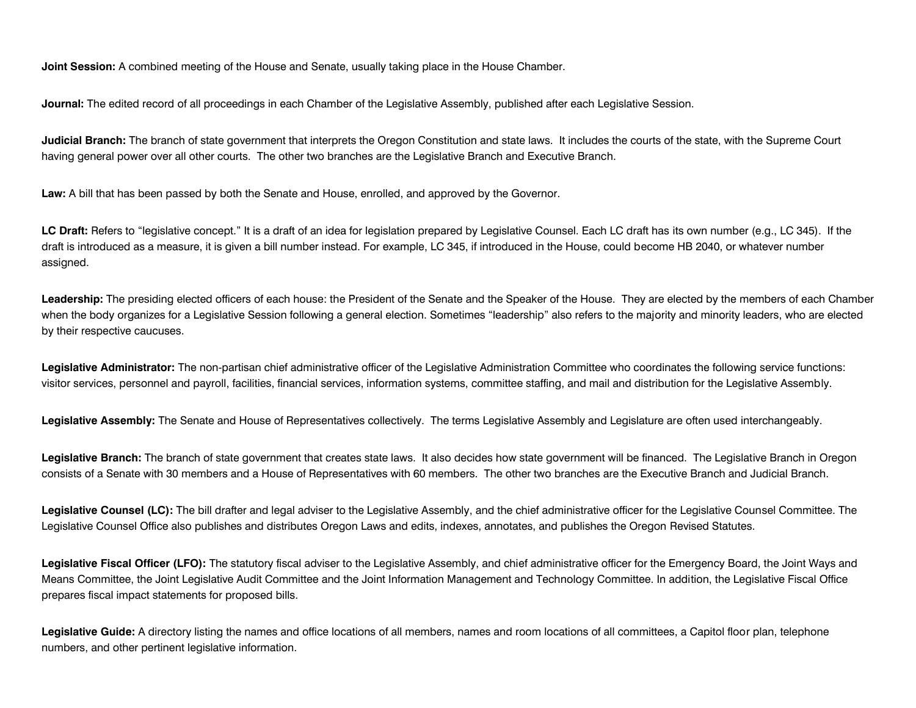**Joint Session:** A combined meeting of the House and Senate, usually taking place in the House Chamber.

**Journal:** The edited record of all proceedings in each Chamber of the Legislative Assembly, published after each Legislative Session.

**Judicial Branch:** The branch of state government that interprets the Oregon Constitution and state laws. It includes the courts of the state, with the Supreme Court having general power over all other courts. The other two branches are the Legislative Branch and Executive Branch.

**Law:** A bill that has been passed by both the Senate and House, enrolled, and approved by the Governor.

LC Draft: Refers to "legislative concept." It is a draft of an idea for legislation prepared by Legislative Counsel. Each LC draft has its own number (e.g., LC 345). If the draft is introduced as a measure, it is given a bill number instead. For example, LC 345, if introduced in the House, could become HB 2040, or whatever number assigned.

**Leadership:** The presiding elected officers of each house: the President of the Senate and the Speaker of the House. They are elected by the members of each Chamber when the body organizes for a Legislative Session following a general election. Sometimes "leadership" also refers to the majority and minority leaders, who are elected by their respective caucuses.

**Legislative Administrator:** The non-partisan chief administrative officer of the Legislative Administration Committee who coordinates the following service functions: visitor services, personnel and payroll, facilities, financial services, information systems, committee staffing, and mail and distribution for the Legislative Assembly.

**Legislative Assembly:** The Senate and House of Representatives collectively. The terms Legislative Assembly and Legislature are often used interchangeably.

Legislative Branch: The branch of state government that creates state laws. It also decides how state government will be financed. The Legislative Branch in Oregon consists of a Senate with 30 members and a House of Representatives with 60 members. The other two branches are the Executive Branch and Judicial Branch.

Legislative Counsel (LC): The bill drafter and legal adviser to the Legislative Assembly, and the chief administrative officer for the Legislative Counsel Committee. The Legislative Counsel Office also publishes and distributes Oregon Laws and edits, indexes, annotates, and publishes the Oregon Revised Statutes.

Legislative Fiscal Officer (LFO): The statutory fiscal adviser to the Legislative Assembly, and chief administrative officer for the Emergency Board, the Joint Ways and Means Committee, the Joint Legislative Audit Committee and the Joint Information Management and Technology Committee. In addition, the Legislative Fiscal Office prepares fiscal impact statements for proposed bills.

**Legislative Guide:** A directory listing the names and office locations of all members, names and room locations of all committees, a Capitol floor plan, telephone numbers, and other pertinent legislative information.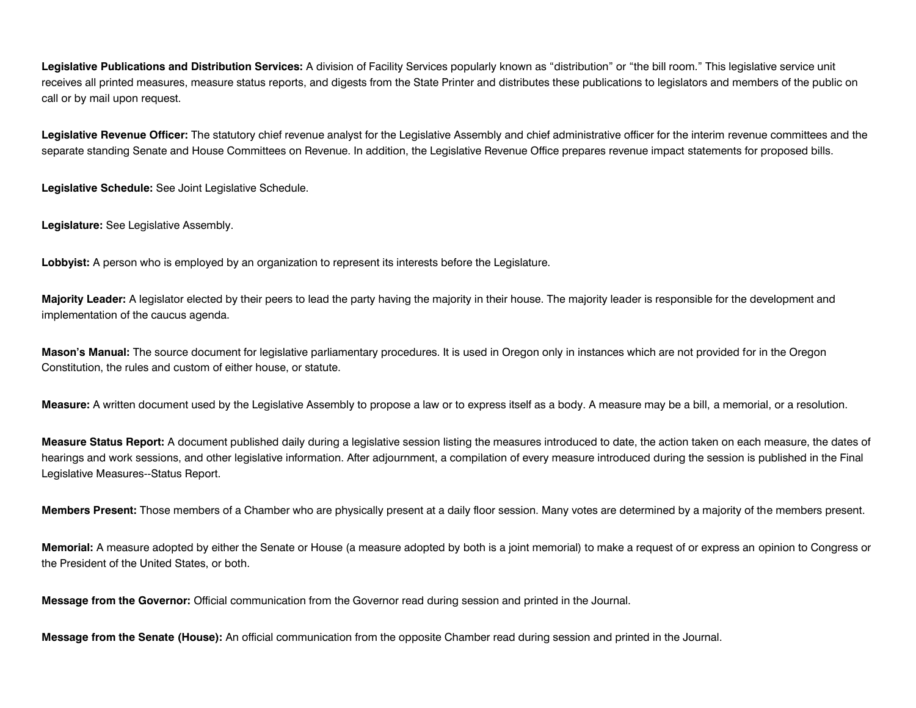**Legislative Publications and Distribution Services:** A division of Facility Services popularly known as "distribution" or "the bill room." This legislative service unit receives all printed measures, measure status reports, and digests from the State Printer and distributes these publications to legislators and members of the public on call or by mail upon request.

**Legislative Revenue Officer:** The statutory chief revenue analyst for the Legislative Assembly and chief administrative officer for the interim revenue committees and the separate standing Senate and House Committees on Revenue. In addition, the Legislative Revenue Office prepares revenue impact statements for proposed bills.

**Legislative Schedule:** See Joint Legislative Schedule.

**Legislature:** See Legislative Assembly.

**Lobbyist:** A person who is employed by an organization to represent its interests before the Legislature.

**Majority Leader:** A legislator elected by their peers to lead the party having the majority in their house. The majority leader is responsible for the development and implementation of the caucus agenda.

**Mason's Manual:** The source document for legislative parliamentary procedures. It is used in Oregon only in instances which are not provided for in the Oregon Constitution, the rules and custom of either house, or statute.

**Measure:** A written document used by the Legislative Assembly to propose a law or to express itself as a body. A measure may be a bill, a memorial, or a resolution.

**Measure Status Report:** A document published daily during a legislative session listing the measures introduced to date, the action taken on each measure, the dates of hearings and work sessions, and other legislative information. After adjournment, a compilation of every measure introduced during the session is published in the Final Legislative Measures--Status Report.

**Members Present:** Those members of a Chamber who are physically present at a daily floor session. Many votes are determined by a majority of the members present.

**Memorial:** A measure adopted by either the Senate or House (a measure adopted by both is a joint memorial) to make a request of or express an opinion to Congress or the President of the United States, or both.

**Message from the Governor:** Official communication from the Governor read during session and printed in the Journal.

**Message from the Senate (House):** An official communication from the opposite Chamber read during session and printed in the Journal.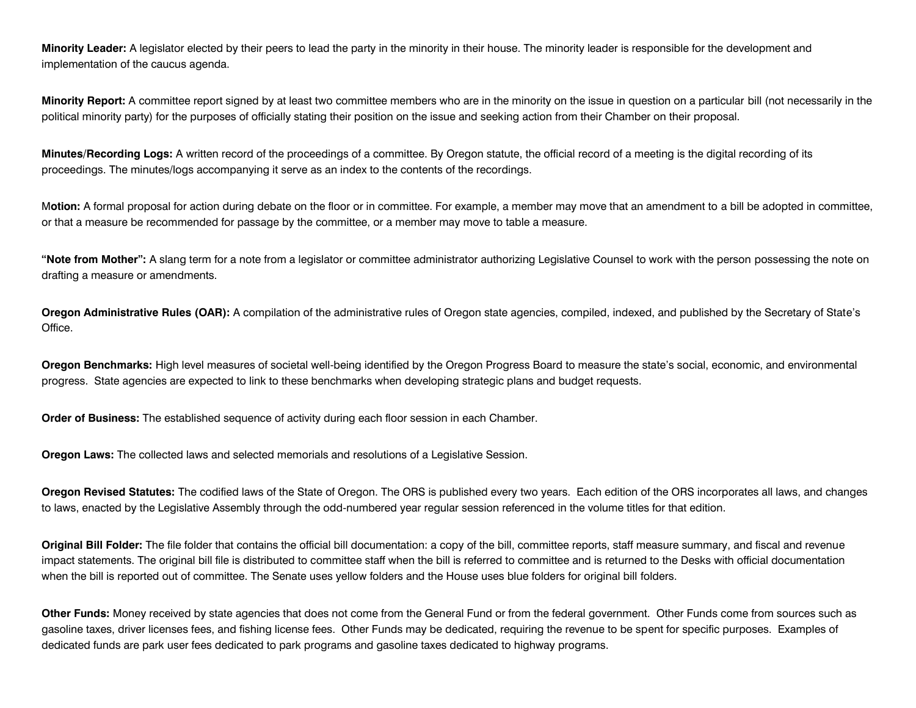**Minority Leader:** A legislator elected by their peers to lead the party in the minority in their house. The minority leader is responsible for the development and implementation of the caucus agenda.

**Minority Report:** A committee report signed by at least two committee members who are in the minority on the issue in question on a particular bill (not necessarily in the political minority party) for the purposes of officially stating their position on the issue and seeking action from their Chamber on their proposal.

**Minutes/Recording Logs:** A written record of the proceedings of a committee. By Oregon statute, the official record of a meeting is the digital recording of its proceedings. The minutes/logs accompanying it serve as an index to the contents of the recordings.

M**otion:** A formal proposal for action during debate on the floor or in committee. For example, a member may move that an amendment to a bill be adopted in committee, or that a measure be recommended for passage by the committee, or a member may move to table a measure.

**"Note from Mother":** A slang term for a note from a legislator or committee administrator authorizing Legislative Counsel to work with the person possessing the note on drafting a measure or amendments.

**Oregon Administrative Rules (OAR):** A compilation of the administrative rules of Oregon state agencies, compiled, indexed, and published by the Secretary of State's Office.

**Oregon Benchmarks:** High level measures of societal well-being identified by the Oregon Progress Board to measure the state's social, economic, and environmental progress. State agencies are expected to link to these benchmarks when developing strategic plans and budget requests.

**Order of Business:** The established sequence of activity during each floor session in each Chamber.

**Oregon Laws:** The collected laws and selected memorials and resolutions of a Legislative Session.

**Oregon Revised Statutes:** The codified laws of the State of Oregon. The ORS is published every two years. Each edition of the ORS incorporates all laws, and changes to laws, enacted by the Legislative Assembly through the odd-numbered year regular session referenced in the volume titles for that edition.

**Original Bill Folder:** The file folder that contains the official bill documentation: a copy of the bill, committee reports, staff measure summary, and fiscal and revenue impact statements. The original bill file is distributed to committee staff when the bill is referred to committee and is returned to the Desks with official documentation when the bill is reported out of committee. The Senate uses yellow folders and the House uses blue folders for original bill folders.

**Other Funds:** Money received by state agencies that does not come from the General Fund or from the federal government. Other Funds come from sources such as gasoline taxes, driver licenses fees, and fishing license fees. Other Funds may be dedicated, requiring the revenue to be spent for specific purposes. Examples of dedicated funds are park user fees dedicated to park programs and gasoline taxes dedicated to highway programs.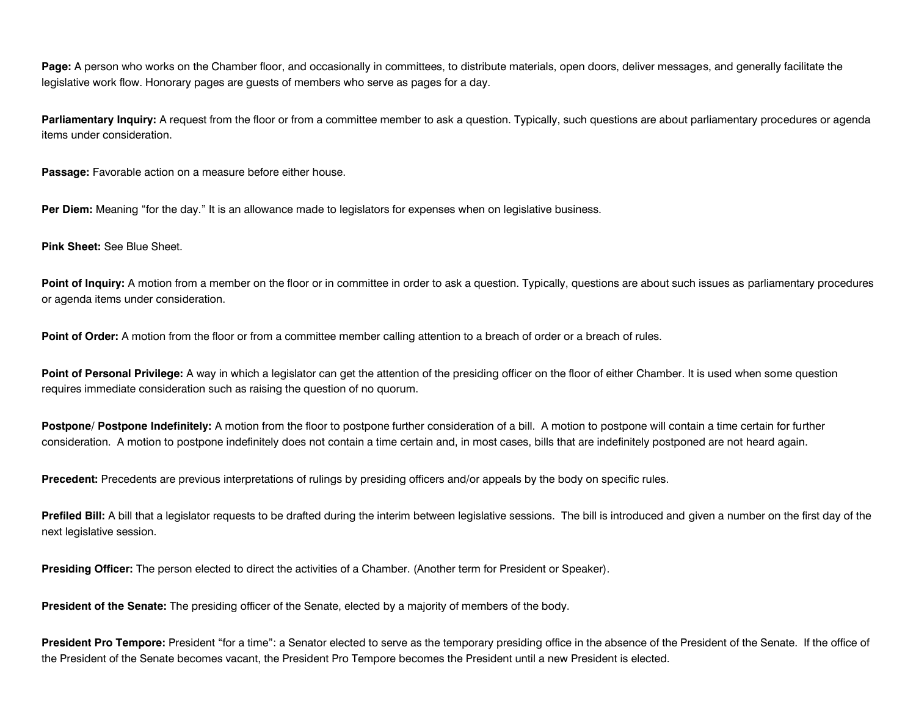**Page:** A person who works on the Chamber floor, and occasionally in committees, to distribute materials, open doors, deliver messages, and generally facilitate the legislative work flow. Honorary pages are guests of members who serve as pages for a day.

Parliamentary Inquiry: A request from the floor or from a committee member to ask a question. Typically, such questions are about parliamentary procedures or agenda items under consideration.

Passage: Favorable action on a measure before either house.

**Per Diem:** Meaning "for the day." It is an allowance made to legislators for expenses when on legislative business.

**Pink Sheet:** See Blue Sheet.

Point of Inquiry: A motion from a member on the floor or in committee in order to ask a question. Typically, questions are about such issues as parliamentary procedures or agenda items under consideration.

Point of Order: A motion from the floor or from a committee member calling attention to a breach of order or a breach of rules.

Point of Personal Privilege: A way in which a legislator can get the attention of the presiding officer on the floor of either Chamber. It is used when some question requires immediate consideration such as raising the question of no quorum.

Postpone/ Postpone Indefinitely: A motion from the floor to postpone further consideration of a bill. A motion to postpone will contain a time certain for further consideration. A motion to postpone indefinitely does not contain a time certain and, in most cases, bills that are indefinitely postponed are not heard again.

**Precedent:** Precedents are previous interpretations of rulings by presiding officers and/or appeals by the body on specific rules.

**Prefiled Bill:** A bill that a legislator requests to be drafted during the interim between legislative sessions. The bill is introduced and given a number on the first day of the next legislative session.

**Presiding Officer:** The person elected to direct the activities of a Chamber. (Another term for President or Speaker).

**President of the Senate:** The presiding officer of the Senate, elected by a majority of members of the body.

**President Pro Tempore:** President "for a time": a Senator elected to serve as the temporary presiding office in the absence of the President of the Senate. If the office of the President of the Senate becomes vacant, the President Pro Tempore becomes the President until a new President is elected.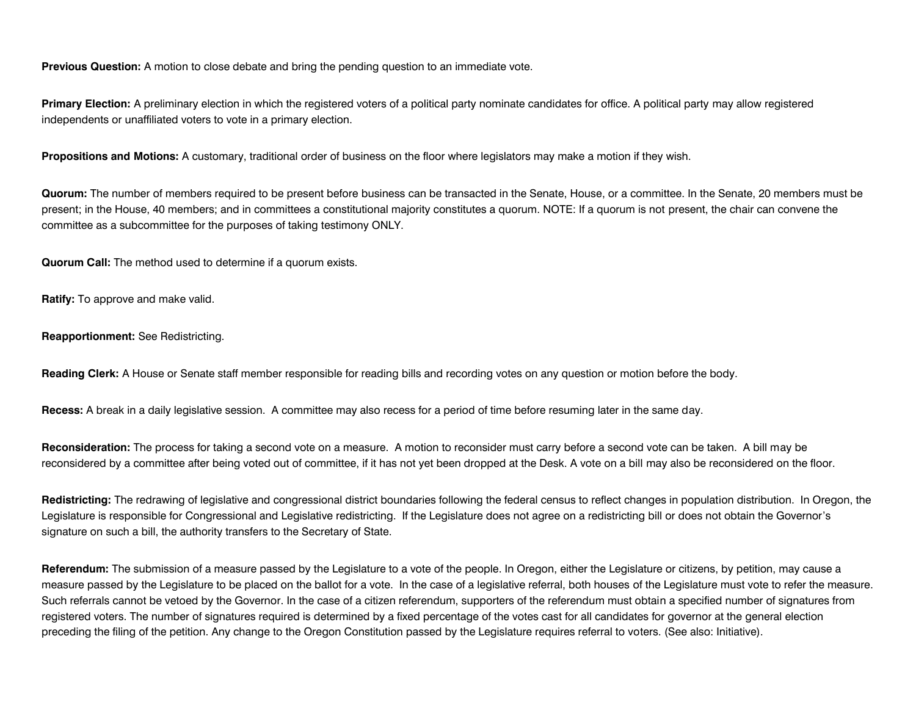**Previous Question:** A motion to close debate and bring the pending question to an immediate vote.

**Primary Election:** A preliminary election in which the registered voters of a political party nominate candidates for office. A political party may allow registered independents or unaffiliated voters to vote in a primary election.

**Propositions and Motions:** A customary, traditional order of business on the floor where legislators may make a motion if they wish.

**Quorum:** The number of members required to be present before business can be transacted in the Senate, House, or a committee. In the Senate, 20 members must be present; in the House, 40 members; and in committees a constitutional majority constitutes a quorum. NOTE: If a quorum is not present, the chair can convene the committee as a subcommittee for the purposes of taking testimony ONLY.

**Quorum Call:** The method used to determine if a quorum exists.

**Ratify:** To approve and make valid.

**Reapportionment:** See Redistricting.

**Reading Clerk:** A House or Senate staff member responsible for reading bills and recording votes on any question or motion before the body.

**Recess:** A break in a daily legislative session. A committee may also recess for a period of time before resuming later in the same day.

**Reconsideration:** The process for taking a second vote on a measure. A motion to reconsider must carry before a second vote can be taken. A bill may be reconsidered by a committee after being voted out of committee, if it has not yet been dropped at the Desk. A vote on a bill may also be reconsidered on the floor.

**Redistricting:** The redrawing of legislative and congressional district boundaries following the federal census to reflect changes in population distribution. In Oregon, the Legislature is responsible for Congressional and Legislative redistricting. If the Legislature does not agree on a redistricting bill or does not obtain the Governor's signature on such a bill, the authority transfers to the Secretary of State.

**Referendum:** The submission of a measure passed by the Legislature to a vote of the people. In Oregon, either the Legislature or citizens, by petition, may cause a measure passed by the Legislature to be placed on the ballot for a vote. In the case of a legislative referral, both houses of the Legislature must vote to refer the measure. Such referrals cannot be vetoed by the Governor. In the case of a citizen referendum, supporters of the referendum must obtain a specified number of signatures from registered voters. The number of signatures required is determined by a fixed percentage of the votes cast for all candidates for governor at the general election preceding the filing of the petition. Any change to the Oregon Constitution passed by the Legislature requires referral to voters. (See also: Initiative).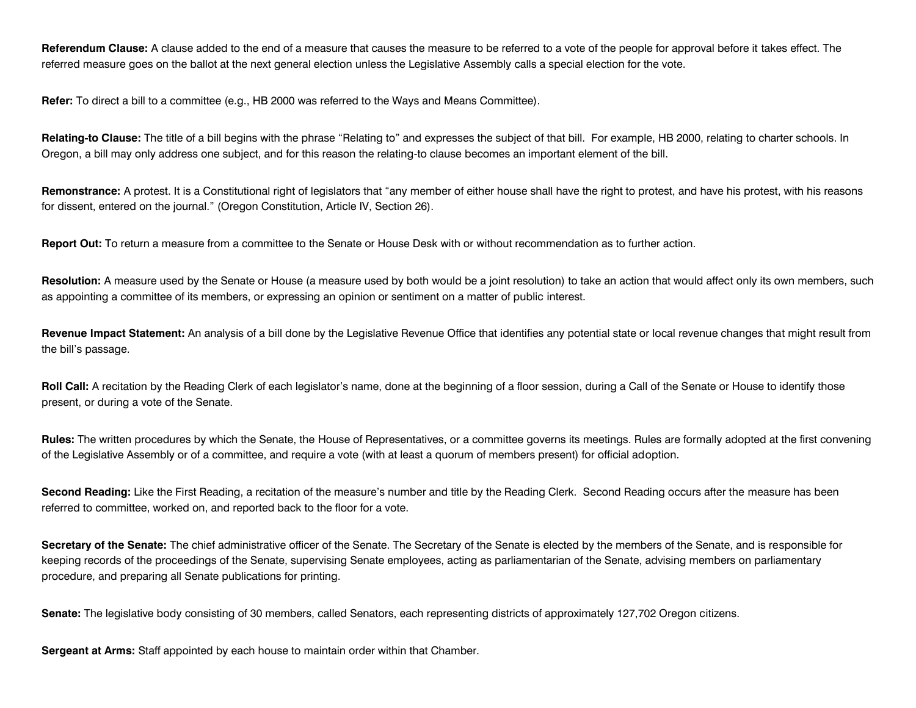**Referendum Clause:** A clause added to the end of a measure that causes the measure to be referred to a vote of the people for approval before it takes effect. The referred measure goes on the ballot at the next general election unless the Legislative Assembly calls a special election for the vote.

**Refer:** To direct a bill to a committee (e.g., HB 2000 was referred to the Ways and Means Committee).

**Relating-to Clause:** The title of a bill begins with the phrase "Relating to" and expresses the subject of that bill. For example, HB 2000, relating to charter schools. In Oregon, a bill may only address one subject, and for this reason the relating-to clause becomes an important element of the bill.

**Remonstrance:** A protest. It is a Constitutional right of legislators that "any member of either house shall have the right to protest, and have his protest, with his reasons for dissent, entered on the journal." (Oregon Constitution, Article IV, Section 26).

**Report Out:** To return a measure from a committee to the Senate or House Desk with or without recommendation as to further action.

Resolution: A measure used by the Senate or House (a measure used by both would be a joint resolution) to take an action that would affect only its own members, such as appointing a committee of its members, or expressing an opinion or sentiment on a matter of public interest.

Revenue Impact Statement: An analysis of a bill done by the Legislative Revenue Office that identifies any potential state or local revenue changes that might result from the bill's passage.

**Roll Call:** A recitation by the Reading Clerk of each legislator's name, done at the beginning of a floor session, during a Call of the Senate or House to identify those present, or during a vote of the Senate.

**Rules:** The written procedures by which the Senate, the House of Representatives, or a committee governs its meetings. Rules are formally adopted at the first convening of the Legislative Assembly or of a committee, and require a vote (with at least a quorum of members present) for official adoption.

**Second Reading:** Like the First Reading, a recitation of the measure's number and title by the Reading Clerk. Second Reading occurs after the measure has been referred to committee, worked on, and reported back to the floor for a vote.

**Secretary of the Senate:** The chief administrative officer of the Senate. The Secretary of the Senate is elected by the members of the Senate, and is responsible for keeping records of the proceedings of the Senate, supervising Senate employees, acting as parliamentarian of the Senate, advising members on parliamentary procedure, and preparing all Senate publications for printing.

**Senate:** The legislative body consisting of 30 members, called Senators, each representing districts of approximately 127,702 Oregon citizens.

**Sergeant at Arms:** Staff appointed by each house to maintain order within that Chamber.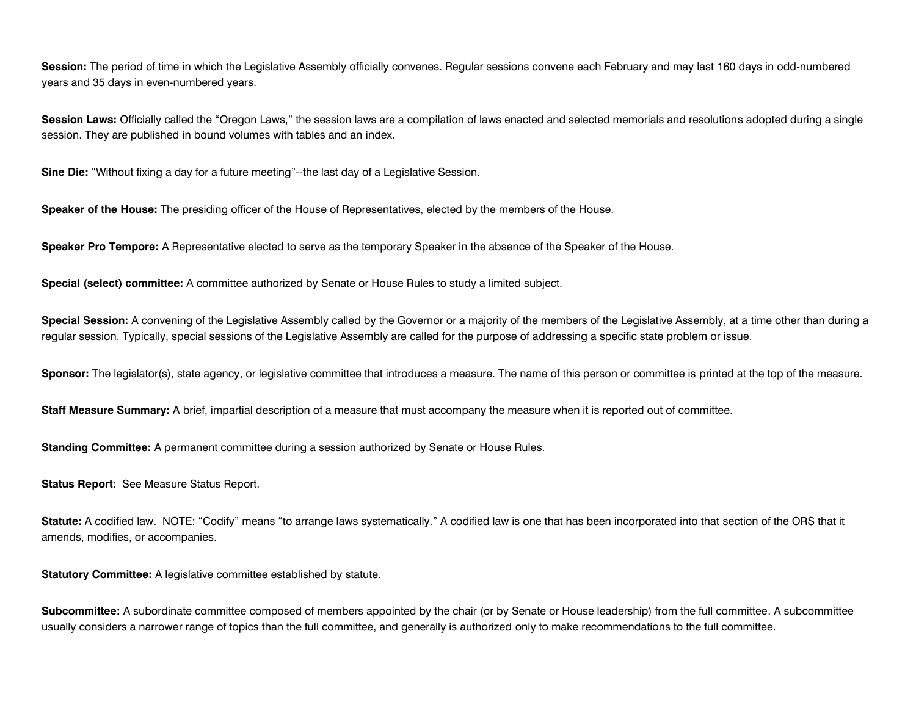**Session:** The period of time in which the Legislative Assembly officially convenes. Regular sessions convene each February and may last 160 days in odd-numbered years and 35 days in even-numbered years.

Session Laws: Officially called the "Oregon Laws," the session laws are a compilation of laws enacted and selected memorials and resolutions adopted during a single session. They are published in bound volumes with tables and an index.

**Sine Die:** "Without fixing a day for a future meeting"--the last day of a Legislative Session.

**Speaker of the House:** The presiding officer of the House of Representatives, elected by the members of the House.

**Speaker Pro Tempore:** A Representative elected to serve as the temporary Speaker in the absence of the Speaker of the House.

**Special (select) committee:** A committee authorized by Senate or House Rules to study a limited subject.

**Special Session:** A convening of the Legislative Assembly called by the Governor or a majority of the members of the Legislative Assembly, at a time other than during a regular session. Typically, special sessions of the Legislative Assembly are called for the purpose of addressing a specific state problem or issue.

**Sponsor:** The legislator(s), state agency, or legislative committee that introduces a measure. The name of this person or committee is printed at the top of the measure.

**Staff Measure Summary:** A brief, impartial description of a measure that must accompany the measure when it is reported out of committee.

**Standing Committee:** A permanent committee during a session authorized by Senate or House Rules.

**Status Report:** See Measure Status Report.

**Statute:** A codified law. NOTE: "Codify" means "to arrange laws systematically." A codified law is one that has been incorporated into that section of the ORS that it amends, modifies, or accompanies.

**Statutory Committee:** A legislative committee established by statute.

**Subcommittee:** A subordinate committee composed of members appointed by the chair (or by Senate or House leadership) from the full committee. A subcommittee usually considers a narrower range of topics than the full committee, and generally is authorized only to make recommendations to the full committee.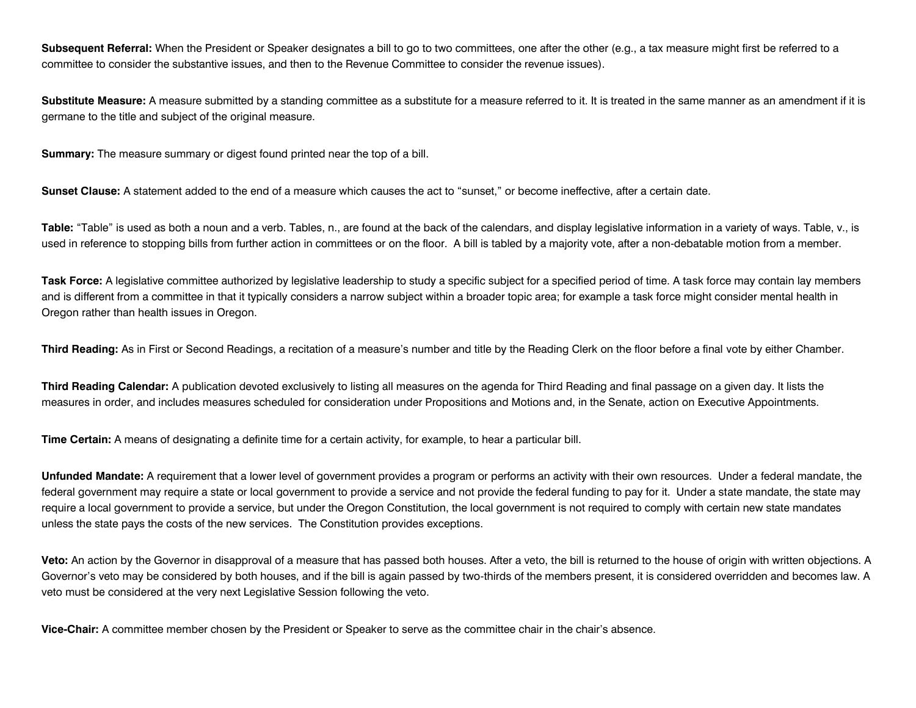Subsequent Referral: When the President or Speaker designates a bill to go to two committees, one after the other (e.g., a tax measure might first be referred to a committee to consider the substantive issues, and then to the Revenue Committee to consider the revenue issues).

Substitute Measure: A measure submitted by a standing committee as a substitute for a measure referred to it. It is treated in the same manner as an amendment if it is germane to the title and subject of the original measure.

**Summary:** The measure summary or digest found printed near the top of a bill.

**Sunset Clause:** A statement added to the end of a measure which causes the act to "sunset," or become ineffective, after a certain date.

**Table:** "Table" is used as both a noun and a verb. Tables, n., are found at the back of the calendars, and display legislative information in a variety of ways. Table, v., is used in reference to stopping bills from further action in committees or on the floor. A bill is tabled by a majority vote, after a non-debatable motion from a member.

Task Force: A legislative committee authorized by legislative leadership to study a specific subject for a specified period of time. A task force may contain lay members and is different from a committee in that it typically considers a narrow subject within a broader topic area; for example a task force might consider mental health in Oregon rather than health issues in Oregon.

**Third Reading:** As in First or Second Readings, a recitation of a measure's number and title by the Reading Clerk on the floor before a final vote by either Chamber.

**Third Reading Calendar:** A publication devoted exclusively to listing all measures on the agenda for Third Reading and final passage on a given day. It lists the measures in order, and includes measures scheduled for consideration under Propositions and Motions and, in the Senate, action on Executive Appointments.

**Time Certain:** A means of designating a definite time for a certain activity, for example, to hear a particular bill.

**Unfunded Mandate:** A requirement that a lower level of government provides a program or performs an activity with their own resources. Under a federal mandate, the federal government may require a state or local government to provide a service and not provide the federal funding to pay for it. Under a state mandate, the state may require a local government to provide a service, but under the Oregon Constitution, the local government is not required to comply with certain new state mandates unless the state pays the costs of the new services. The Constitution provides exceptions.

**Veto:** An action by the Governor in disapproval of a measure that has passed both houses. After a veto, the bill is returned to the house of origin with written objections. A Governor's veto may be considered by both houses, and if the bill is again passed by two-thirds of the members present, it is considered overridden and becomes law. A veto must be considered at the very next Legislative Session following the veto.

**Vice-Chair:** A committee member chosen by the President or Speaker to serve as the committee chair in the chair's absence.